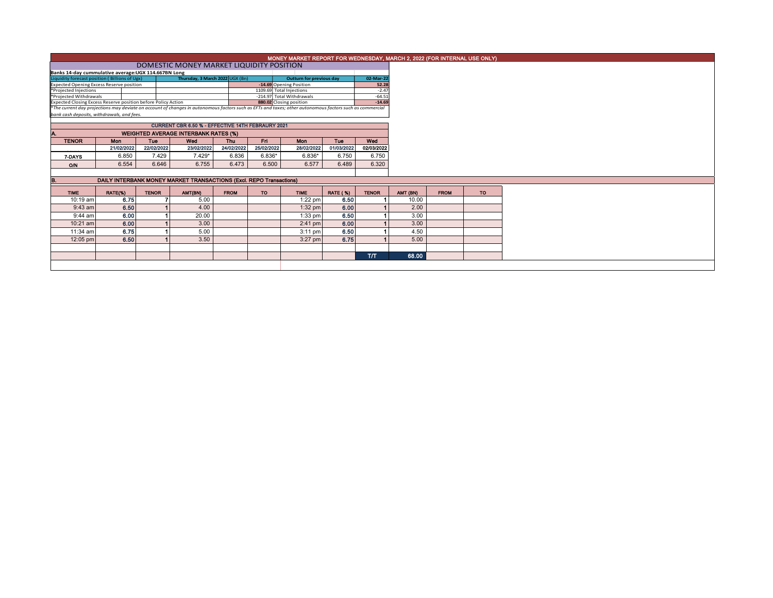|                                                                                                                                                          |                                                      |              |                                                                     |             |            |                                                      |                 |                      |  |          | MONEY MARKET REPORT FOR WEDNESDAY, MARCH 2, 2022 (FOR INTERNAL USE ONLY) |
|----------------------------------------------------------------------------------------------------------------------------------------------------------|------------------------------------------------------|--------------|---------------------------------------------------------------------|-------------|------------|------------------------------------------------------|-----------------|----------------------|--|----------|--------------------------------------------------------------------------|
|                                                                                                                                                          |                                                      |              |                                                                     |             |            |                                                      |                 |                      |  |          |                                                                          |
|                                                                                                                                                          | Banks 14-day cummulative average: UGX 114.667BN Long |              |                                                                     |             |            |                                                      |                 |                      |  |          |                                                                          |
| Thursday, 3 March 2022 UGX (Bn)<br>Liquidity forecast position (Billions of Ugx)<br>02-Mar-22<br>Outturn for previous day                                |                                                      |              |                                                                     |             |            |                                                      |                 |                      |  |          |                                                                          |
| -14.69 Opening Position<br><b>Expected Opening Excess Reserve position</b><br>1109.69 Total Injections                                                   |                                                      |              |                                                                     |             |            |                                                      |                 | 52.28                |  |          |                                                                          |
| *Projected Injections                                                                                                                                    |                                                      |              |                                                                     |             |            |                                                      |                 | $-2.47$              |  |          |                                                                          |
| *Projected Withdrawals<br>Expected Closing Excess Reserve position before Policy Action                                                                  |                                                      |              |                                                                     |             |            | -214.97 Total Withdrawals<br>880.02 Closing position |                 | $-64.51$<br>$-14.69$ |  |          |                                                                          |
| *The current day projections may deviate on account of changes in autonomous factors such as EFTs and taxes; other autonomous factors such as commercial |                                                      |              |                                                                     |             |            |                                                      |                 |                      |  |          |                                                                          |
| bank cash deposits, withdrawals, and fees.                                                                                                               |                                                      |              |                                                                     |             |            |                                                      |                 |                      |  |          |                                                                          |
|                                                                                                                                                          |                                                      |              | CURRENT CBR 6.50 % - EFFECTIVE 14TH FEBRAURY 2021                   |             |            |                                                      |                 |                      |  |          |                                                                          |
| <b>WEIGHTED AVERAGE INTERBANK RATES (%)</b>                                                                                                              |                                                      |              |                                                                     |             |            |                                                      |                 |                      |  |          |                                                                          |
| <b>TENOR</b>                                                                                                                                             | <b>Mon</b>                                           | Tue          | Wed                                                                 | <b>Thu</b>  | Fri        | Mon                                                  | Tue             | Wed                  |  |          |                                                                          |
|                                                                                                                                                          | 21/02/2022                                           | 22/02/2022   | 23/02/2022                                                          | 24/02/2022  | 25/02/2022 | 28/02/2022                                           | 01/03/2022      | 02/03/2022           |  |          |                                                                          |
| 7-DAYS                                                                                                                                                   | 6.850                                                | 7.429        | $7.429*$                                                            | 6.836       | $6.836*$   | $6.836*$                                             | 6.750           | 6.750                |  |          |                                                                          |
| <b>O/N</b>                                                                                                                                               | 6.554                                                | 6.646        | 6.755                                                               | 6.473       | 6.500      | 6.577                                                | 6.489           | 6.320                |  |          |                                                                          |
|                                                                                                                                                          |                                                      |              |                                                                     |             |            |                                                      |                 |                      |  |          |                                                                          |
|                                                                                                                                                          |                                                      |              | DAILY INTERBANK MONEY MARKET TRANSACTIONS (Excl. REPO Transactions) |             |            |                                                      |                 |                      |  |          |                                                                          |
| <b>TIME</b>                                                                                                                                              | RATE(%)                                              | <b>TENOR</b> | AMT(BN)                                                             | <b>FROM</b> | <b>TO</b>  | <b>TIME</b>                                          | <b>RATE (%)</b> | <b>TENOR</b>         |  | AMT (BN) | <b>FROM</b>                                                              |
| 10:19 am                                                                                                                                                 | 6.75                                                 |              | 5.00                                                                |             |            | $1:22$ pm                                            | 6.50            |                      |  | 10.00    |                                                                          |
| $9:43$ am                                                                                                                                                | 6.50                                                 |              | 4.00                                                                |             |            | $1:32$ pm                                            | 6.00            |                      |  | 2.00     |                                                                          |
| $9:44$ am                                                                                                                                                | 6.00                                                 |              | 20.00                                                               |             |            | $1:33$ pm                                            | 6.50            |                      |  | 3.00     |                                                                          |
| $10:21$ am                                                                                                                                               | 6.00                                                 |              | 3.00                                                                |             |            | $2:41$ pm                                            | 6.00            |                      |  | 3.00     |                                                                          |
| $11:34$ am                                                                                                                                               | 6.75                                                 |              | 5.00                                                                |             |            | $3:11$ pm                                            | 6.50            |                      |  | 4.50     |                                                                          |
| 12:05 pm                                                                                                                                                 | 6.50                                                 |              | 3.50                                                                |             |            | $3:27$ pm                                            | 6.75            |                      |  | 5.00     |                                                                          |
|                                                                                                                                                          |                                                      |              |                                                                     |             |            |                                                      |                 |                      |  |          |                                                                          |
|                                                                                                                                                          |                                                      |              |                                                                     |             |            |                                                      |                 | TЛ                   |  | 68.00    |                                                                          |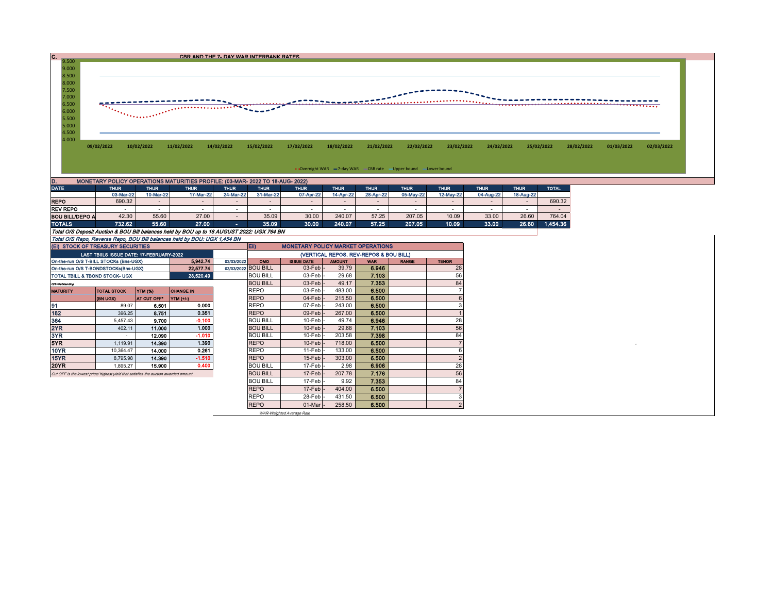

• Overnight WAR = 7-day WAR CBR rate - Upper bound - Lower bound

| D.                     | MONETARY POLICY OPERATIONS MATURITIES PROFILE: (03-MAR-2022 TO 18-AUG-2022) |             |             |            |             |             |             |             |             |           |             |             |              |  |  |
|------------------------|-----------------------------------------------------------------------------|-------------|-------------|------------|-------------|-------------|-------------|-------------|-------------|-----------|-------------|-------------|--------------|--|--|
| <b>DATE</b>            | <b>THUR</b>                                                                 | <b>THUR</b> | <b>THUR</b> | THUR       | <b>THUR</b> | <b>THUR</b> | <b>THUR</b> | <b>THUR</b> | <b>THUR</b> | THUR      | <b>THUR</b> | <b>THUR</b> | <b>TOTAL</b> |  |  |
|                        | 03-Mar-22                                                                   | 10-Mar-22   | 17-Mar-22   | 24-Mar-22  | 31-Mar-22   | 07-Apr-22   | 14-Apr-22   | 28-Apr-22   | 05-May-22   | 12-May-22 | 04-Aug-22   | 18-Aug-22   |              |  |  |
| <b>REPO</b>            | 690.32                                                                      |             |             |            |             |             |             |             |             |           |             |             | 690.32       |  |  |
| <b>REV REPO</b>        |                                                                             |             |             |            |             |             |             |             |             |           |             |             |              |  |  |
| <b>BOU BILL/DEPO A</b> | 42.30                                                                       | 55.60       | 27.00       |            | 35.09       | 30.00       | 240.07      | 57.25       | 207.05      | 10.09     | 33.00       | 26.60       | 764.04       |  |  |
| <b>TOTALS</b>          | 732.62                                                                      | 55.60       | 27.00       | <b>COL</b> | 35.09       | 30.00       | 240.07      | 57.25       | 207.05      | 10.09     | 33.00       | 26.60       | 1,454.36     |  |  |

Total O/S Deposit Auction & BOU Bill balances held by BOU up to 18 AUGUST 2022: UGX 764 BN

| Total O/S Repo, Reverse Repo, BOU Bill balances held by BOU: UGX 1,454 BN            |                                          |                     |                  |            |                                        |                                          |               |            |              |              |  |  |  |
|--------------------------------------------------------------------------------------|------------------------------------------|---------------------|------------------|------------|----------------------------------------|------------------------------------------|---------------|------------|--------------|--------------|--|--|--|
| (EI) STOCK OF TREASURY SECURITIES                                                    |                                          |                     |                  |            | $E$ ii)                                | <b>MONETARY POLICY MARKET OPERATIONS</b> |               |            |              |              |  |  |  |
|                                                                                      | LAST TBIILS ISSUE DATE: 17-FEBRUARY-2022 |                     |                  |            | (VERTICAL REPOS, REV-REPOS & BOU BILL) |                                          |               |            |              |              |  |  |  |
| On-the-run O/S T-BILL STOCKs (Bns-UGX)                                               |                                          |                     | 5,942.74         | 03/03/2022 | OMO                                    | <b>ISSUE DATE</b>                        | <b>AMOUNT</b> | <b>WAR</b> | <b>RANGE</b> | <b>TENOR</b> |  |  |  |
| On-the-run O/S T-BONDSTOCKs(Bns-UGX)                                                 |                                          | 03/03/2022 BOU BILL | $03$ -Feb $-$    | 39.79      | 6.946                                  |                                          | 28            |            |              |              |  |  |  |
| TOTAL TBILL & TBOND STOCK- UGX                                                       |                                          | <b>BOU BILL</b>     | 03-Feb-          | 29.68      | 7.103                                  |                                          | 56            |            |              |              |  |  |  |
| O/S=Outstanding                                                                      |                                          |                     |                  |            | <b>BOU BILL</b>                        | $03$ -Feb $\vert$ -                      | 49.17         | 7.353      |              | 84           |  |  |  |
| <b>TOTAL STOCK</b><br><b>YTM (%)</b><br><b>MATURITY</b>                              |                                          |                     | <b>CHANGE IN</b> |            | <b>REPO</b>                            | 03-Feb-                                  | 483.00        | 6.500      |              |              |  |  |  |
|                                                                                      | (BN UGX)                                 | <b>AT CUT OFF*</b>  | YTM (+/-)        |            | <b>REPO</b>                            | $04$ -Feb $-$                            | 215.50        | 6.500      |              |              |  |  |  |
| 91                                                                                   | 89.07                                    | 6.501               | 0.000            |            | <b>REPO</b>                            | $07$ -Feb $\overline{\phantom{a}}$       | 243.00        | 6.500      |              |              |  |  |  |
| 182                                                                                  | 396.25                                   | 8.751               | 0.351            |            | <b>REPO</b>                            | $09$ -Feb $-$                            | 267.00        | 6.500      |              |              |  |  |  |
| 364                                                                                  | 5.457.43                                 | 9.700               | $-0.100$         |            | <b>BOU BILL</b>                        | $10$ -Feb $\cdot$                        | 49.74         | 6.946      |              | 28           |  |  |  |
| 2YR                                                                                  | 402.11                                   | 11.000              | 1.000            |            | <b>BOU BILL</b>                        | $10$ -Feb $\vert$ -                      | 29.68         | 7.103      |              | 56           |  |  |  |
| 3YR                                                                                  |                                          | 12.090              | $-1.010$         |            | <b>BOU BILL</b>                        | $10$ -Feb                                | 203.58        | 7.398      |              | 84           |  |  |  |
| 5YR.                                                                                 | 1.119.91                                 | 14.390              | 1.390            |            | <b>REPO</b>                            | $10$ -Feb $\cdot$                        | 718.00        | 6.500      |              |              |  |  |  |
| 10YR                                                                                 | 10.364.47                                | 14.000              | 0.261            |            | <b>REPO</b>                            | $11-Feb$                                 | 133.00        | 6.500      |              |              |  |  |  |
| 15YR                                                                                 | 8,795.98                                 | 14.390              | $-1.510$         |            | <b>REPO</b>                            | $15$ -Feb $\vert$ -                      | 303.00        | 6.500      |              | $\epsilon$   |  |  |  |
| 20YR                                                                                 | 1.895.27                                 | 15.900              | 0.400            |            | <b>BOU BILL</b>                        | $17$ -Feb $-$                            | 2.98          | 6.906      |              | 28           |  |  |  |
| Cut OFF is the lowest price/highest yield that satisfies the auction awarded amount. |                                          |                     |                  |            | <b>BOU BILL</b>                        | $17$ -Feb $\vert$ -                      | 207.78        | 7.176      |              | 56           |  |  |  |
|                                                                                      |                                          |                     |                  |            | <b>BOU BILL</b>                        | $17$ -Feb $\vert$ -                      | 9.92          | 7.353      |              | 84           |  |  |  |
|                                                                                      |                                          |                     |                  |            | <b>REPO</b>                            | $17$ -Feb $-$                            | 404.00        | 6.500      |              |              |  |  |  |
|                                                                                      |                                          |                     |                  |            | <b>REPO</b>                            | $28$ -Feb $\cdot$                        | 431.50        | 6.500      |              |              |  |  |  |
|                                                                                      |                                          |                     |                  |            | <b>REPO</b>                            | $01$ -Mar $\vert$ -                      | 258.50        | 6.500      |              | 2            |  |  |  |

WAR-Weighted Average Rate